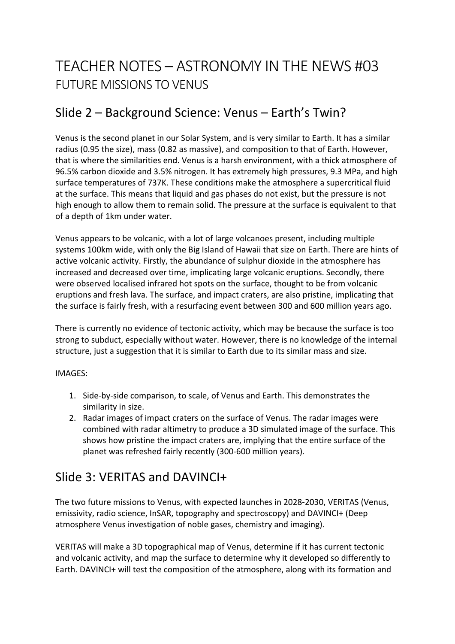# TEACHER NOTES – ASTRONOMY IN THE NEWS #03 FUTURE MISSIONS TO VENUS

## Slide 2 – Background Science: Venus – Earth's Twin?

Venus is the second planet in our Solar System, and is very similar to Earth. It has a similar radius (0.95 the size), mass (0.82 as massive), and composition to that of Earth. However, that is where the similarities end. Venus is a harsh environment, with a thick atmosphere of 96.5% carbon dioxide and 3.5% nitrogen. It has extremely high pressures, 9.3 MPa, and high surface temperatures of 737K. These conditions make the atmosphere a supercritical fluid at the surface. This means that liquid and gas phases do not exist, but the pressure is not high enough to allow them to remain solid. The pressure at the surface is equivalent to that of a depth of 1km under water.

Venus appears to be volcanic, with a lot of large volcanoes present, including multiple systems 100km wide, with only the Big Island of Hawaii that size on Earth. There are hints of active volcanic activity. Firstly, the abundance of sulphur dioxide in the atmosphere has increased and decreased over time, implicating large volcanic eruptions. Secondly, there were observed localised infrared hot spots on the surface, thought to be from volcanic eruptions and fresh lava. The surface, and impact craters, are also pristine, implicating that the surface is fairly fresh, with a resurfacing event between 300 and 600 million years ago.

There is currently no evidence of tectonic activity, which may be because the surface is too strong to subduct, especially without water. However, there is no knowledge of the internal structure, just a suggestion that it is similar to Earth due to its similar mass and size.

#### IMAGES:

- 1. Side-by-side comparison, to scale, of Venus and Earth. This demonstrates the similarity in size.
- 2. Radar images of impact craters on the surface of Venus. The radar images were combined with radar altimetry to produce a 3D simulated image of the surface. This shows how pristine the impact craters are, implying that the entire surface of the planet was refreshed fairly recently (300-600 million years).

### Slide 3: VERITAS and DAVINCI+

The two future missions to Venus, with expected launches in 2028-2030, VERITAS (Venus, emissivity, radio science, InSAR, topography and spectroscopy) and DAVINCI+ (Deep atmosphere Venus investigation of noble gases, chemistry and imaging).

VERITAS will make a 3D topographical map of Venus, determine if it has current tectonic and volcanic activity, and map the surface to determine why it developed so differently to Earth. DAVINCI+ will test the composition of the atmosphere, along with its formation and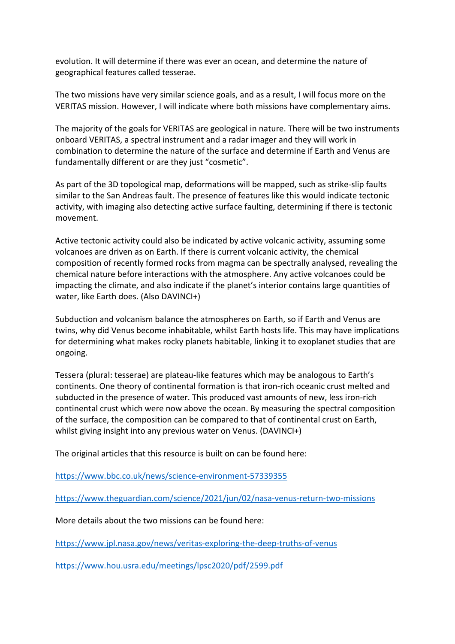evolution. It will determine if there was ever an ocean, and determine the nature of geographical features called tesserae.

The two missions have very similar science goals, and as a result, I will focus more on the VERITAS mission. However, I will indicate where both missions have complementary aims.

The majority of the goals for VERITAS are geological in nature. There will be two instruments onboard VERITAS, a spectral instrument and a radar imager and they will work in combination to determine the nature of the surface and determine if Earth and Venus are fundamentally different or are they just "cosmetic".

As part of the 3D topological map, deformations will be mapped, such as strike-slip faults similar to the San Andreas fault. The presence of features like this would indicate tectonic activity, with imaging also detecting active surface faulting, determining if there is tectonic movement.

Active tectonic activity could also be indicated by active volcanic activity, assuming some volcanoes are driven as on Earth. If there is current volcanic activity, the chemical composition of recently formed rocks from magma can be spectrally analysed, revealing the chemical nature before interactions with the atmosphere. Any active volcanoes could be impacting the climate, and also indicate if the planet's interior contains large quantities of water, like Earth does. (Also DAVINCI+)

Subduction and volcanism balance the atmospheres on Earth, so if Earth and Venus are twins, why did Venus become inhabitable, whilst Earth hosts life. This may have implications for determining what makes rocky planets habitable, linking it to exoplanet studies that are ongoing.

Tessera (plural: tesserae) are plateau-like features which may be analogous to Earth's continents. One theory of continental formation is that iron-rich oceanic crust melted and subducted in the presence of water. This produced vast amounts of new, less iron-rich continental crust which were now above the ocean. By measuring the spectral composition of the surface, the composition can be compared to that of continental crust on Earth, whilst giving insight into any previous water on Venus. (DAVINCI+)

The original articles that this resource is built on can be found here:

https://www.bbc.co.uk/news/science-environment-57339355

https://www.theguardian.com/science/2021/jun/02/nasa-venus-return-two-missions

More details about the two missions can be found here:

https://www.jpl.nasa.gov/news/veritas-exploring-the-deep-truths-of-venus

https://www.hou.usra.edu/meetings/lpsc2020/pdf/2599.pdf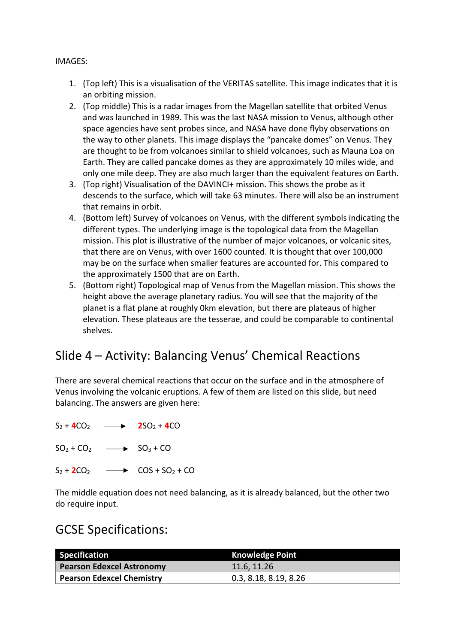#### IMAGES:

- 1. (Top left) This is a visualisation of the VERITAS satellite. This image indicates that it is an orbiting mission.
- 2. (Top middle) This is a radar images from the Magellan satellite that orbited Venus and was launched in 1989. This was the last NASA mission to Venus, although other space agencies have sent probes since, and NASA have done flyby observations on the way to other planets. This image displays the "pancake domes" on Venus. They are thought to be from volcanoes similar to shield volcanoes, such as Mauna Loa on Earth. They are called pancake domes as they are approximately 10 miles wide, and only one mile deep. They are also much larger than the equivalent features on Earth.
- 3. (Top right) Visualisation of the DAVINCI+ mission. This shows the probe as it descends to the surface, which will take 63 minutes. There will also be an instrument that remains in orbit.
- 4. (Bottom left) Survey of volcanoes on Venus, with the different symbols indicating the different types. The underlying image is the topological data from the Magellan mission. This plot is illustrative of the number of major volcanoes, or volcanic sites, that there are on Venus, with over 1600 counted. It is thought that over 100,000 may be on the surface when smaller features are accounted for. This compared to the approximately 1500 that are on Earth.
- 5. (Bottom right) Topological map of Venus from the Magellan mission. This shows the height above the average planetary radius. You will see that the majority of the planet is a flat plane at roughly 0km elevation, but there are plateaus of higher elevation. These plateaus are the tesserae, and could be comparable to continental shelves.

### Slide 4 – Activity: Balancing Venus' Chemical Reactions

There are several chemical reactions that occur on the surface and in the atmosphere of Venus involving the volcanic eruptions. A few of them are listed on this slide, but need balancing. The answers are given here:

 $S_2 + 4CO_2 \longrightarrow 2SO_2 + 4CO$ 

 $SO_2 + CO_2$   $\longrightarrow$   $SO_3 + CO$ 

 $S_2 + 2CO_2$   $\longrightarrow$   $COS + SO_2 + CO$ 

The middle equation does not need balancing, as it is already balanced, but the other two do require input.

#### GCSE Specifications:

| <b>Specification</b>             | <b>Knowledge Point</b>        |
|----------------------------------|-------------------------------|
| <b>Pearson Edexcel Astronomy</b> | 11.6, 11.26                   |
| Pearson Edexcel Chemistry        | $\vert$ 0.3, 8.18, 8.19, 8.26 |